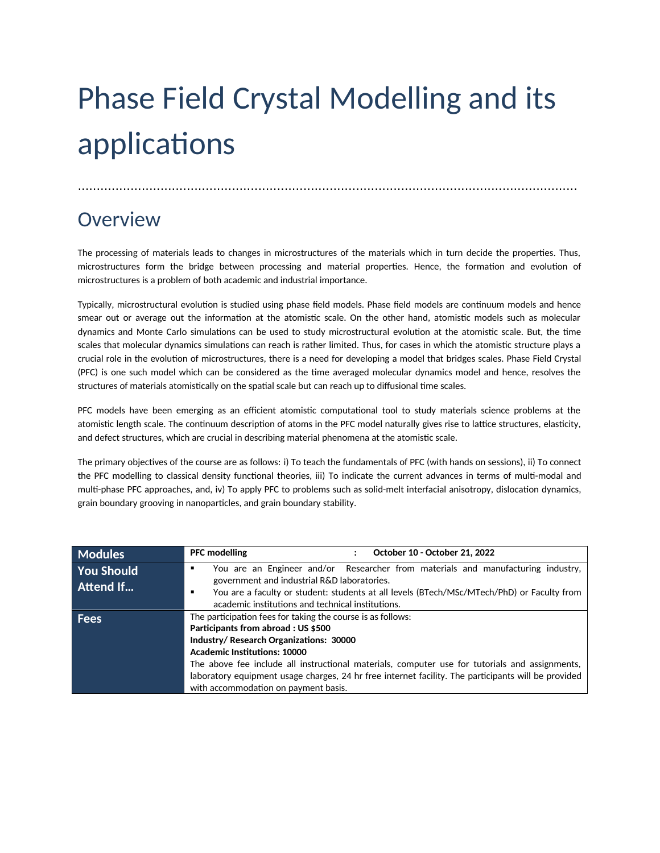## Phase Field Crystal Modelling and its applications

.....................................................................................................................................

## Overview

The processing of materials leads to changes in microstructures of the materials which in turn decide the properties. Thus, microstructures form the bridge between processing and material properties. Hence, the formation and evolution of microstructures is a problem of both academic and industrial importance.

Typically, microstructural evolution is studied using phase field models. Phase field models are continuum models and hence smear out or average out the information at the atomistic scale. On the other hand, atomistic models such as molecular dynamics and Monte Carlo simulations can be used to study microstructural evolution at the atomistic scale. But, the time scales that molecular dynamics simulations can reach is rather limited. Thus, for cases in which the atomistic structure plays a crucial role in the evolution of microstructures, there is a need for developing a model that bridges scales. Phase Field Crystal (PFC) is one such model which can be considered as the time averaged molecular dynamics model and hence, resolves the structures of materials atomistically on the spatial scale but can reach up to diffusional time scales.

PFC models have been emerging as an efficient atomistic computational tool to study materials science problems at the atomistic length scale. The continuum description of atoms in the PFC model naturally gives rise to lattice structures, elasticity, and defect structures, which are crucial in describing material phenomena at the atomistic scale.

The primary objectives of the course are as follows: i) To teach the fundamentals of PFC (with hands on sessions), ii) To connect the PFC modelling to classical density functional theories, iii) To indicate the current advances in terms of multi-modal and multi-phase PFC approaches, and, iv) To apply PFC to problems such as solid-melt interfacial anisotropy, dislocation dynamics, grain boundary grooving in nanoparticles, and grain boundary stability.

| <b>Modules</b>                 | <b>PFC</b> modelling<br>October 10 - October 21, 2022                                                                                                                                                                                                                                                                                                                                                                                |
|--------------------------------|--------------------------------------------------------------------------------------------------------------------------------------------------------------------------------------------------------------------------------------------------------------------------------------------------------------------------------------------------------------------------------------------------------------------------------------|
| <b>You Should</b><br>Attend If | You are an Engineer and/or Researcher from materials and manufacturing industry,<br>٠<br>government and industrial R&D laboratories.<br>You are a faculty or student: students at all levels (BTech/MSc/MTech/PhD) or Faculty from<br>٠<br>academic institutions and technical institutions.                                                                                                                                         |
| <b>Fees</b>                    | The participation fees for taking the course is as follows:<br>Participants from abroad : US \$500<br>Industry/Research Organizations: 30000<br><b>Academic Institutions: 10000</b><br>The above fee include all instructional materials, computer use for tutorials and assignments,<br>laboratory equipment usage charges, 24 hr free internet facility. The participants will be provided<br>with accommodation on payment basis. |